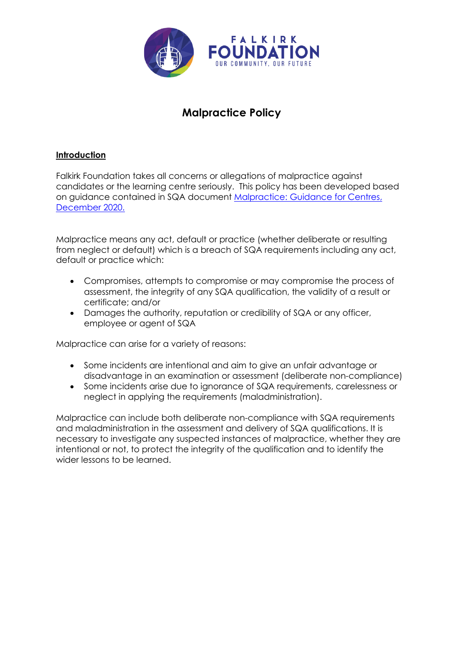

# **Malpractice Policy**

# **Introduction**

Falkirk Foundation takes all concerns or allegations of malpractice against candidates or the learning centre seriously. This policy has been developed based on guidance contained in SQA document Malpractice: Guidance for Centres, December 2020.

Malpractice means any act, default or practice (whether deliberate or resulting from neglect or default) which is a breach of SQA requirements including any act, default or practice which:

- Compromises, attempts to compromise or may compromise the process of assessment, the integrity of any SQA qualification, the validity of a result or certificate; and/or
- Damages the authority, reputation or credibility of SQA or any officer, employee or agent of SQA

Malpractice can arise for a variety of reasons:

- Some incidents are intentional and aim to give an unfair advantage or disadvantage in an examination or assessment (deliberate non-compliance)
- Some incidents arise due to ignorance of SQA requirements, carelessness or neglect in applying the requirements (maladministration).

Malpractice can include both deliberate non-compliance with SQA requirements and maladministration in the assessment and delivery of SQA qualifications. It is necessary to investigate any suspected instances of malpractice, whether they are intentional or not, to protect the integrity of the qualification and to identify the wider lessons to be learned.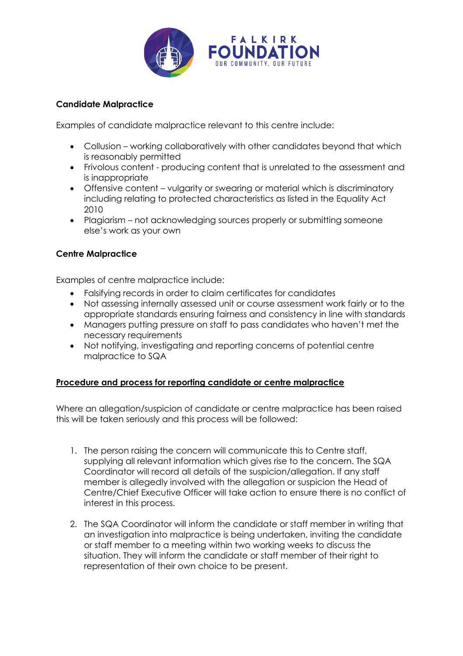

## **Candidate Malpractice**

Examples of candidate malpractice relevant to this centre include:

- Collusion working collaboratively with other candidates beyond that which is reasonably permitted
- Frivolous content producing content that is unrelated to the assessment and is inappropriate
- Offensive content vulgarity or swearing or material which is discriminatory including relating to protected characteristics as listed in the Equality Act 2010
- Plagiarism not acknowledging sources properly or submitting someone else's work as your own

# **Centre Malpractice**

Examples of centre malpractice include:

- Falsifying records in order to claim certificates for candidates
- Not assessing internally assessed unit or course assessment work fairly or to the appropriate standards ensuring fairness and consistency in line with standards
- Managers putting pressure on staff to pass candidates who haven't met the necessary requirements
- Not notifying, investigating and reporting concerns of potential centre malpractice to SQA

### **Procedure and process for reporting candidate or centre malpractice**

Where an allegation/suspicion of candidate or centre malpractice has been raised this will be taken seriously and this process will be followed:

- 1. The person raising the concern will communicate this to Centre staff, supplying all relevant information which gives rise to the concern. The SQA Coordinator will record all details of the suspicion/allegation. If any staff member is allegedly involved with the allegation or suspicion the Head of Centre/Chief Executive Officer will take action to ensure there is no conflict of interest in this process.
- 2. The SQA Coordinator will inform the candidate or staff member in writing that an investigation into malpractice is being undertaken, inviting the candidate or staff member to a meeting within two working weeks to discuss the situation. They will inform the candidate or staff member of their right to representation of their own choice to be present.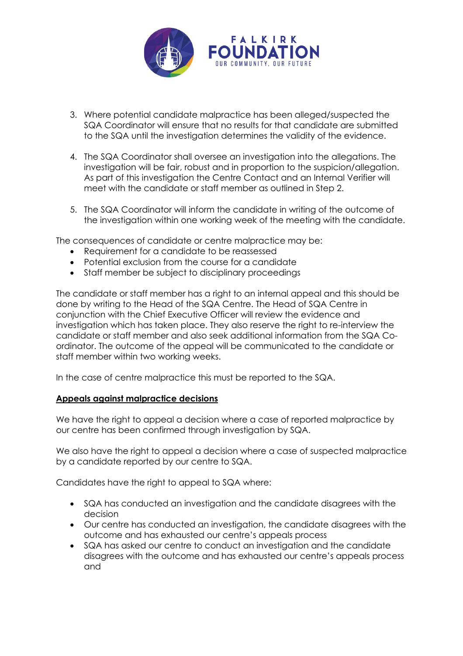

- 3. Where potential candidate malpractice has been alleged/suspected the SQA Coordinator will ensure that no results for that candidate are submitted to the SQA until the investigation determines the validity of the evidence.
- 4. The SQA Coordinator shall oversee an investigation into the allegations. The investigation will be fair, robust and in proportion to the suspicion/allegation. As part of this investigation the Centre Contact and an Internal Verifier will meet with the candidate or staff member as outlined in Step 2.
- 5. The SQA Coordinator will inform the candidate in writing of the outcome of the investigation within one working week of the meeting with the candidate.

The consequences of candidate or centre malpractice may be:

- Requirement for a candidate to be reassessed
- Potential exclusion from the course for a candidate
- Staff member be subject to disciplinary proceedings

The candidate or staff member has a right to an internal appeal and this should be done by writing to the Head of the SQA Centre. The Head of SQA Centre in conjunction with the Chief Executive Officer will review the evidence and investigation which has taken place. They also reserve the right to re-interview the candidate or staff member and also seek additional information from the SQA Coordinator. The outcome of the appeal will be communicated to the candidate or staff member within two working weeks.

In the case of centre malpractice this must be reported to the SQA.

#### **Appeals against malpractice decisions**

We have the right to appeal a decision where a case of reported malpractice by our centre has been confirmed through investigation by SQA.

We also have the right to appeal a decision where a case of suspected malpractice by a candidate reported by our centre to SQA.

Candidates have the right to appeal to SQA where:

- SQA has conducted an investigation and the candidate disagrees with the decision
- Our centre has conducted an investigation, the candidate disagrees with the outcome and has exhausted our centre's appeals process
- SQA has asked our centre to conduct an investigation and the candidate disagrees with the outcome and has exhausted our centre's appeals process and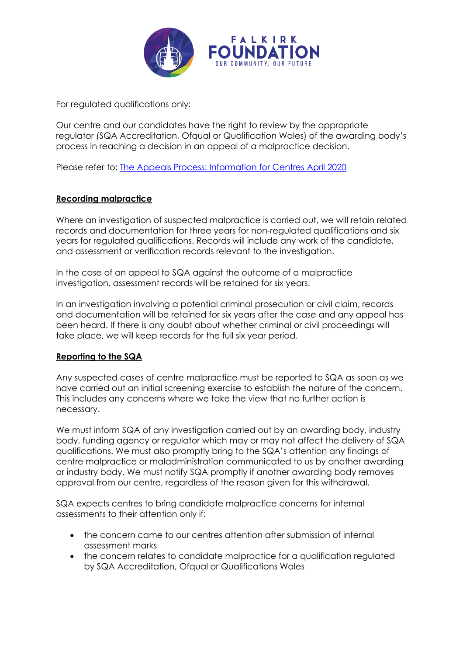

For regulated qualifications only:

Our centre and our candidates have the right to review by the appropriate regulator (SQA Accreditation, Ofqual or Qualification Wales) of the awarding body's process in reaching a decision in an appeal of a malpractice decision.

Please refer to: The Appeals Process: Information for Centres April 2020

### **Recording malpractice**

Where an investigation of suspected malpractice is carried out, we will retain related records and documentation for three years for non-regulated qualifications and six years for regulated qualifications. Records will include any work of the candidate, and assessment or verification records relevant to the investigation.

In the case of an appeal to SQA against the outcome of a malpractice investigation, assessment records will be retained for six years.

In an investigation involving a potential criminal prosecution or civil claim, records and documentation will be retained for six years after the case and any appeal has been heard. If there is any doubt about whether criminal or civil proceedings will take place, we will keep records for the full six year period.

#### **Reporting to the SQA**

Any suspected cases of centre malpractice must be reported to SQA as soon as we have carried out an initial screening exercise to establish the nature of the concern. This includes any concerns where we take the view that no further action is necessary.

We must inform SQA of any investigation carried out by an awarding body, industry body, funding agency or regulator which may or may not affect the delivery of SQA qualifications. We must also promptly bring to the SQA's attention any findings of centre malpractice or maladministration communicated to us by another awarding or industry body. We must notify SQA promptly if another awarding body removes approval from our centre, regardless of the reason given for this withdrawal.

SQA expects centres to bring candidate malpractice concerns for internal assessments to their attention only if:

- the concern came to our centres attention after submission of internal assessment marks
- the concern relates to candidate malpractice for a qualification regulated by SQA Accreditation, Ofqual or Qualifications Wales